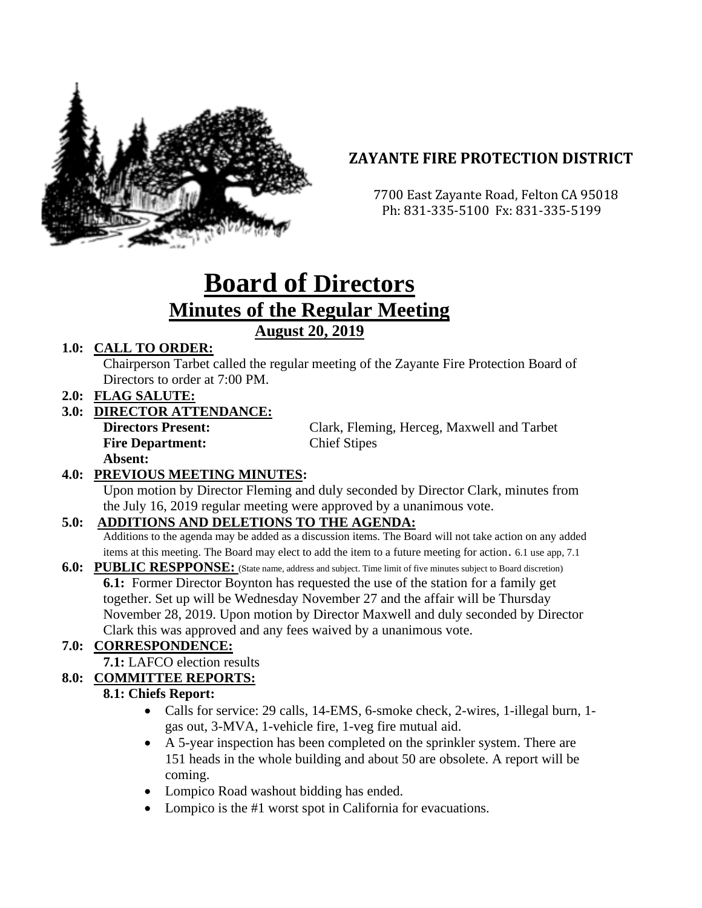

# **ZAYANTE FIRE PROTECTION DISTRICT**

 7700 East Zayante Road, Felton CA 95018 Ph: 831-335-5100 Fx: 831-335-5199

# **Board of Directors Minutes of the Regular Meeting August 20, 2019**

#### **1.0: CALL TO ORDER:**

Chairperson Tarbet called the regular meeting of the Zayante Fire Protection Board of Directors to order at 7:00 PM.

**2.0: FLAG SALUTE:**

#### **3.0: DIRECTOR ATTENDANCE:**

**Fire Department:** Chief Stipes **Absent:** 

**Directors Present:** Clark, Fleming, Herceg, Maxwell and Tarbet

## **4.0: PREVIOUS MEETING MINUTES:**

Upon motion by Director Fleming and duly seconded by Director Clark, minutes from the July 16, 2019 regular meeting were approved by a unanimous vote.

## **5.0: ADDITIONS AND DELETIONS TO THE AGENDA:**

Additions to the agenda may be added as a discussion items. The Board will not take action on any added items at this meeting. The Board may elect to add the item to a future meeting for action. 6.1 use app, 7.1

**6.0: PUBLIC RESPPONSE:** (State name, address and subject. Time limit of five minutes subject to Board discretion) **6.1:** Former Director Boynton has requested the use of the station for a family get together. Set up will be Wednesday November 27 and the affair will be Thursday November 28, 2019. Upon motion by Director Maxwell and duly seconded by Director Clark this was approved and any fees waived by a unanimous vote.

# **7.0: CORRESPONDENCE:**

**7.1:** LAFCO election results

## **8.0: COMMITTEE REPORTS:**

#### **8.1: Chiefs Report:**

- Calls for service: 29 calls, 14-EMS, 6-smoke check, 2-wires, 1-illegal burn, 1 gas out, 3-MVA, 1-vehicle fire, 1-veg fire mutual aid.
- A 5-year inspection has been completed on the sprinkler system. There are 151 heads in the whole building and about 50 are obsolete. A report will be coming.
- Lompico Road washout bidding has ended.
- Lompico is the #1 worst spot in California for evacuations.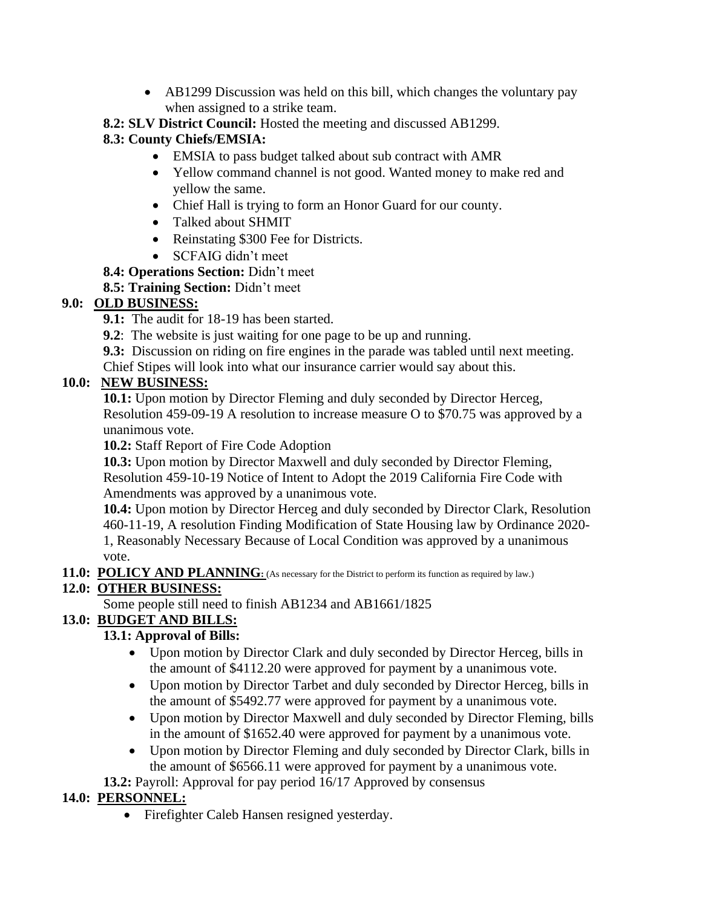• AB1299 Discussion was held on this bill, which changes the voluntary pay when assigned to a strike team.

**8.2: SLV District Council:** Hosted the meeting and discussed AB1299.

## **8.3: County Chiefs/EMSIA:**

- EMSIA to pass budget talked about sub contract with AMR
- Yellow command channel is not good. Wanted money to make red and yellow the same.
- Chief Hall is trying to form an Honor Guard for our county.
- Talked about SHMIT
- Reinstating \$300 Fee for Districts.
- SCFAIG didn't meet
- **8.4: Operations Section:** Didn't meet

## **8.5: Training Section:** Didn't meet

## **9.0: OLD BUSINESS:**

- **9.1:** The audit for 18-19 has been started.
- **9.2**: The website is just waiting for one page to be up and running.
- **9.3:** Discussion on riding on fire engines in the parade was tabled until next meeting.

Chief Stipes will look into what our insurance carrier would say about this.

## **10.0: NEW BUSINESS:**

**10.1:** Upon motion by Director Fleming and duly seconded by Director Herceg, Resolution 459-09-19 A resolution to increase measure O to \$70.75 was approved by a unanimous vote.

**10.2:** Staff Report of Fire Code Adoption

**10.3:** Upon motion by Director Maxwell and duly seconded by Director Fleming, Resolution 459-10-19 Notice of Intent to Adopt the 2019 California Fire Code with Amendments was approved by a unanimous vote.

**10.4:** Upon motion by Director Herceg and duly seconded by Director Clark, Resolution 460-11-19, A resolution Finding Modification of State Housing law by Ordinance 2020- 1, Reasonably Necessary Because of Local Condition was approved by a unanimous vote.

11.0: POLICY AND PLANNING: (As necessary for the District to perform its function as required by law.)

# **12.0: OTHER BUSINESS:**

Some people still need to finish AB1234 and AB1661/1825

## **13.0: BUDGET AND BILLS:**

## **13.1: Approval of Bills:**

- Upon motion by Director Clark and duly seconded by Director Herceg, bills in the amount of \$4112.20 were approved for payment by a unanimous vote.
- Upon motion by Director Tarbet and duly seconded by Director Herceg, bills in the amount of \$5492.77 were approved for payment by a unanimous vote.
- Upon motion by Director Maxwell and duly seconded by Director Fleming, bills in the amount of \$1652.40 were approved for payment by a unanimous vote.
- Upon motion by Director Fleming and duly seconded by Director Clark, bills in the amount of \$6566.11 were approved for payment by a unanimous vote.

**13.2:** Payroll: Approval for pay period 16/17 Approved by consensus

## **14.0: PERSONNEL:**

• Firefighter Caleb Hansen resigned yesterday.